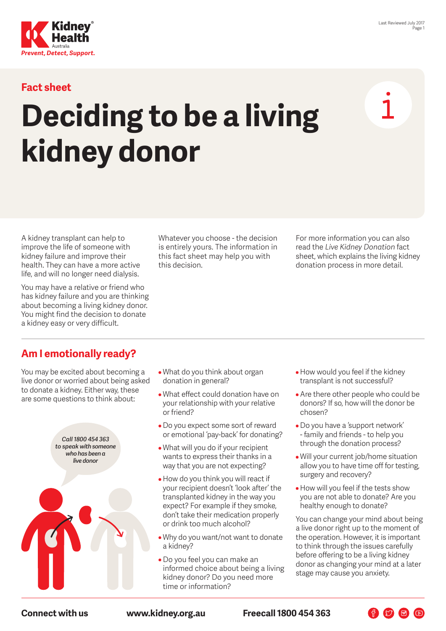

#### **Fact sheet**

# **Deciding to be a living kidney donor**

A kidney transplant can help to improve the life of someone with kidney failure and improve their health. They can have a more active life, and will no longer need dialysis.

You may have a relative or friend who has kidney failure and you are thinking about becoming a living kidney donor. You might find the decision to donate a kidney easy or very difficult.

Whatever you choose - the decision is entirely yours. The information in this fact sheet may help you with this decision.

For more information you can also read the *Live Kidney Donation* fact sheet, which explains the living kidney donation process in more detail.

### **Am I emotionally ready?**

You may be excited about becoming a live donor or worried about being asked to donate a kidney. Either way, these are some questions to think about:



- What do you think about organ donation in general?
- What effect could donation have on your relationship with your relative or friend?
- Do you expect some sort of reward or emotional 'pay-back' for donating?
- What will you do if your recipient wants to express their thanks in a way that you are not expecting?
- How do you think you will react if your recipient doesn't 'look after' the transplanted kidney in the way you expect? For example if they smoke, don't take their medication properly or drink too much alcohol?
- Why do you want/not want to donate a kidney?
- Do you feel you can make an informed choice about being a living kidney donor? Do you need more time or information?
- How would you feel if the kidney transplant is not successful?
- Are there other people who could be donors? If so, how will the donor be chosen?
- Do you have a 'support network' - family and friends - to help you through the donation process?
- Will your current job/home situation allow you to have time off for testing, surgery and recovery?
- How will you feel if the tests show you are not able to donate? Are you healthy enough to donate?

You can change your mind about being a live donor right up to the moment of the operation. However, it is important to think through the issues carefully before offering to be a living kidney donor as changing your mind at a later stage may cause you anxiety.

**Connect with us [www.kidney.org.au](http://www.kidney.org.au) Freecall 1800 454 363**

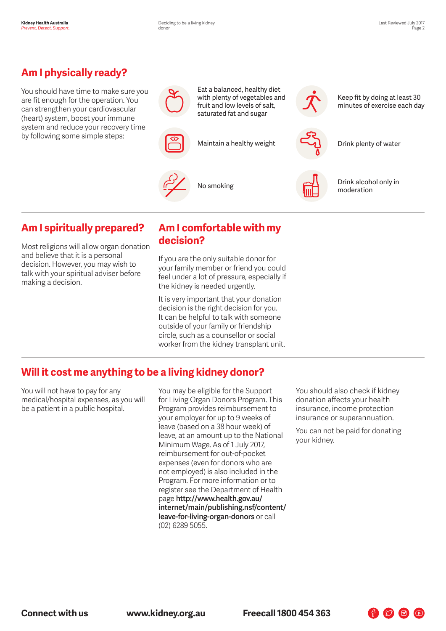# **Am I physically ready?**

You should have time to make sure you are fit enough for the operation. You can strengthen your cardiovascular (heart) system, boost your immune system and reduce your recovery time by following some simple steps:



Eat a balanced, healthy diet with plenty of vegetables and fruit and low levels of salt, saturated fat and sugar

Maintain a healthy weight Drink plenty of water





Keep fit by doing at least 30 minutes of exercise each day



No smoking  $\Box$  Drink alcohol only in moderation

#### **Am I spiritually prepared?**

Most religions will allow organ donation and believe that it is a personal decision. However, you may wish to talk with your spiritual adviser before making a decision.

#### **Am I comfortable with my decision?**

If you are the only suitable donor for your family member or friend you could feel under a lot of pressure, especially if the kidney is needed urgently.

It is very important that your donation decision is the right decision for you. It can be helpful to talk with someone outside of your family or friendship circle, such as a counsellor or social worker from the kidney transplant unit.

#### **Will it cost me anything to be a living kidney donor?**

You will not have to pay for any medical/hospital expenses, as you will be a patient in a public hospital.

You may be eligible for the Support for Living Organ Donors Program. This Program provides reimbursement to your employer for up to 9 weeks of leave (based on a 38 hour week) of leave, at an amount up to the National Minimum Wage. As of 1 July 2017, reimbursement for out-of-pocket expenses (even for donors who are not employed) is also included in the Program. For more information or to register see the Department of Health page **[http://www.health.gov.au/](http://www.health.gov.au/internet/main/publishing.nsf/content/leave-for-living-organ-donors) [internet/main/publishing.nsf/content/](http://www.health.gov.au/internet/main/publishing.nsf/content/leave-for-living-organ-donors) [leave-](http://www.health.gov.au/internet/main/publishing.nsf/content/leave-for-living-organ-donors)for-living-organ-donors** or call (02) 6289 5055.

You should also check if kidney donation affects your health insurance, income protection insurance or superannuation.

You can not be paid for donating your kidney.

 $\bigoplus$   $\bigcirc$   $\bigoplus$   $\bigcirc$ 

**Connect with us [www.kidney.org.au](http://www.kidney.org.au) Freecall 1800 454 363**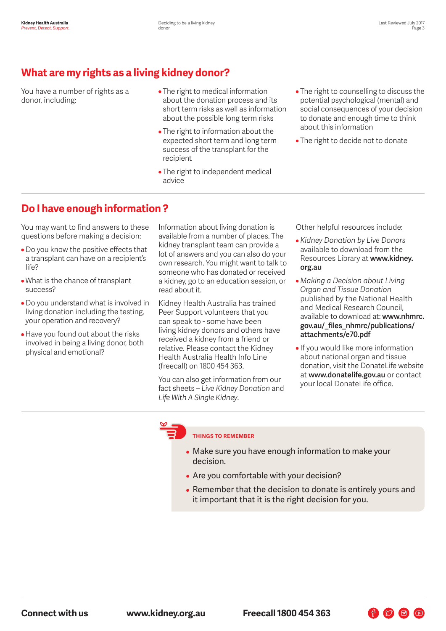## **What are my rights as a living kidney donor?**

You have a number of rights as a donor, including:

- The right to medical information about the donation process and its short term risks as well as information about the possible long term risks
- The right to information about the expected short term and long term success of the transplant for the recipient
- The right to independent medical advice
- The right to counselling to discuss the potential psychological (mental) and social consequences of your decision to donate and enough time to think about this information
- The right to decide not to donate

#### **Do I have enough information ?**

You may want to find answers to these questions before making a decision:

- Do you know the positive effects that a transplant can have on a recipient's life?
- What is the chance of transplant success?
- Do you understand what is involved in living donation including the testing, your operation and recovery?
- Have you found out about the risks involved in being a living donor, both physical and emotional?

Information about living donation is available from a number of places. The kidney transplant team can provide a lot of answers and you can also do your own research. You might want to talk to someone who has donated or received a kidney, go to an education session, or read about it.

Kidney Health Australia has trained Peer Support volunteers that you can speak to - some have been living kidney donors and others have received a kidney from a friend or relative. Please contact the Kidney Health Australia Health Info Line (freecall) on 1800 454 363.

You can also get information from our fact sheets – *Live Kidney Donation* and *Life With A Single Kidney*.

Other helpful resources include:

- *Kidney Donation by Live Donors* available to download from the Resources Library at **[www.kidney.](http://www.kidney.org.au) [org.au](http://www.kidney.org.au)**
- *Making a Decision about Living Organ and Tissue Donation* published by the National Health and Medical Research Council, available to download at: **[www.nhmrc.](http://www.nhmrc.gov.au/_files_nhmrc/publications/attachments/e70.pdf) [gov.au/\\_files\\_nhmrc/publications/](http://www.nhmrc.gov.au/_files_nhmrc/publications/attachments/e70.pdf) [attachments/e70.pdf](http://www.nhmrc.gov.au/_files_nhmrc/publications/attachments/e70.pdf)**
- If you would like more information about national organ and tissue donation, visit the DonateLife website at **[www.donatelife.gov.au](http://www.donatelife.gov.au)** or contact your local DonateLife office.

 $\bigoplus$   $\bigcirc$   $\bigoplus$   $\bigcirc$ 

#### **THINGS TO REMEMBER**

- Make sure you have enough information to make your decision.
- Are you comfortable with your decision?
- Remember that the decision to donate is entirely yours and it important that it is the right decision for you.